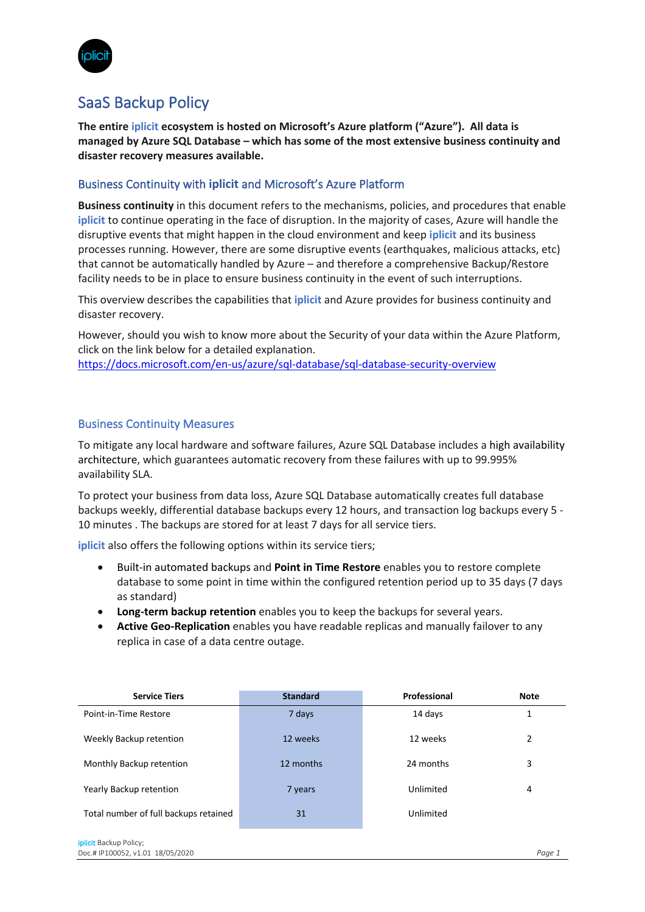

## SaaS Backup Policy

**The entire iplicit ecosystem is hosted on Microsoft's Azure platform ("Azure"). All data is managed by Azure SQL Database – which has some of the most extensive business continuity and disaster recovery measures available.**

## Business Continuity with **iplicit** and Microsoft's Azure Platform

**Business continuity** in this document refers to the mechanisms, policies, and procedures that enable **iplicit** to continue operating in the face of disruption. In the majority of cases, Azure will handle the disruptive events that might happen in the cloud environment and keep **iplicit** and its business processes running. However, there are some disruptive events (earthquakes, malicious attacks, etc) that cannot be automatically handled by Azure – and therefore a comprehensive Backup/Restore facility needs to be in place to ensure business continuity in the event of such interruptions.

This overview describes the capabilities that **iplicit** and Azure provides for business continuity and disaster recovery.

However, should you wish to know more about the Security of your data within the Azure Platform, click on the link below for a detailed explanation. https://docs.microsoft.com/en-us/azure/sql-database/sql-database-security-overview

## Business Continuity Measures

To mitigate any local hardware and software failures, Azure SQL Database includes a high availability architecture, which guarantees automatic recovery from these failures with up to 99.995% availability SLA.

To protect your business from data loss, Azure SQL Database automatically creates full database backups weekly, differential database backups every 12 hours, and transaction log backups every 5 - 10 minutes . The backups are stored for at least 7 days for all service tiers.

**iplicit** also offers the following options within its service tiers;

- Built-in automated backups and **Point in Time Restore** enables you to restore complete database to some point in time within the configured retention period up to 35 days (7 days as standard)
- **Long-term backup retention** enables you to keep the backups for several years.
- **Active Geo-Replication** enables you have readable replicas and manually failover to any replica in case of a data centre outage.

| <b>Service Tiers</b>                  | <b>Standard</b> | Professional | <b>Note</b> |
|---------------------------------------|-----------------|--------------|-------------|
| Point-in-Time Restore                 | 7 days          | 14 days      |             |
| Weekly Backup retention               | 12 weeks        | 12 weeks     | 2           |
| Monthly Backup retention              | 12 months       | 24 months    | 3           |
| Yearly Backup retention               | 7 years         | Unlimited    | 4           |
| Total number of full backups retained | 31              | Unlimited    |             |
| iplicit Backup Policy;                |                 |              |             |